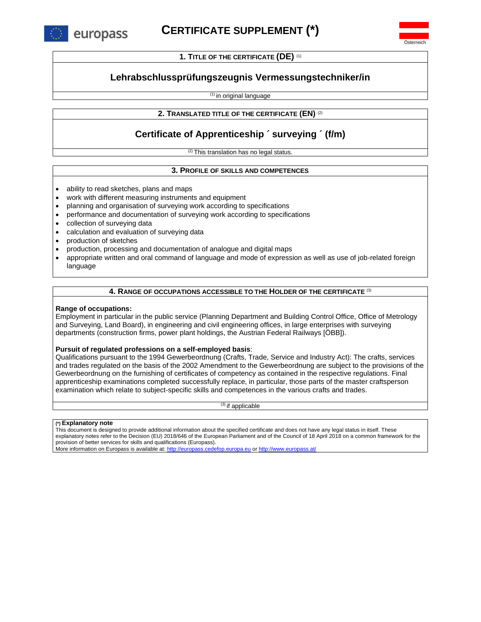

Österreich

**1. TITLE OF THE CERTIFICATE (DE)** (1)

# **Lehrabschlussprüfungszeugnis Vermessungstechniker/in**

(1) in original language

### **2. TRANSLATED TITLE OF THE CERTIFICATE (EN)** (2)

# **Certificate of Apprenticeship ´ surveying ´ (f/m)**

<sup>(2)</sup> This translation has no legal status.

#### **3. PROFILE OF SKILLS AND COMPETENCES**

- ability to read sketches, plans and maps
- work with different measuring instruments and equipment
- planning and organisation of surveying work according to specifications
- performance and documentation of surveying work according to specifications
- collection of surveying data
- calculation and evaluation of surveying data
- production of sketches
- production, processing and documentation of analogue and digital maps
- appropriate written and oral command of language and mode of expression as well as use of job-related foreign language

#### **4. RANGE OF OCCUPATIONS ACCESSIBLE TO THE HOLDER OF THE CERTIFICATE** (3)

#### **Range of occupations:**

Employment in particular in the public service (Planning Department and Building Control Office, Office of Metrology and Surveying, Land Board), in engineering and civil engineering offices, in large enterprises with surveying departments (construction firms, power plant holdings, the Austrian Federal Railways [ÖBB]).

### **Pursuit of regulated professions on a self-employed basis**:

Qualifications pursuant to the 1994 Gewerbeordnung (Crafts, Trade, Service and Industry Act): The crafts, services and trades regulated on the basis of the 2002 Amendment to the Gewerbeordnung are subject to the provisions of the Gewerbeordnung on the furnishing of certificates of competency as contained in the respective regulations. Final apprenticeship examinations completed successfully replace, in particular, those parts of the master craftsperson examination which relate to subject-specific skills and competences in the various crafts and trades.

 $(3)$  if applicable

#### **(\*) Explanatory note**

This document is designed to provide additional information about the specified certificate and does not have any legal status in itself. These explanatory notes refer to the Decision (EU) 2018/646 of the European Parliament and of the Council of 18 April 2018 on a common framework for the provision of better services for skills and qualifications (Europass).

More information on Europass is available at: [http://europass.cedefop.europa.eu](http://europass.cedefop.europa.eu/) o[r http://www.europass.at/](http://www.europass.at/)